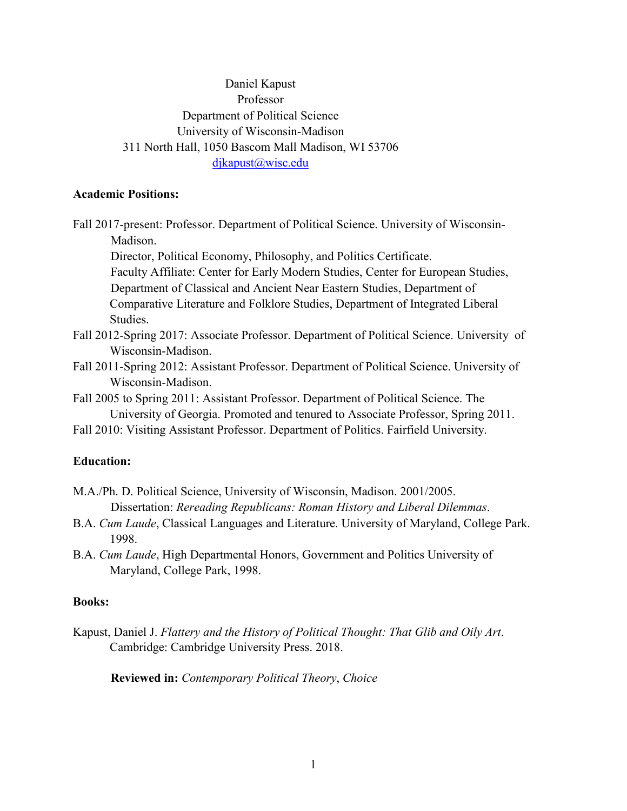# Daniel Kapust Professor Department of Political Science University of Wisconsin-Madison 311 North Hall, 1050 Bascom Mall Madison, WI 53706 djkapust@wisc.edu

#### **Academic Positions:**

Studies.

Fall 2017-present: Professor. Department of Political Science. University of Wisconsin-Madison.

Director, Political Economy, Philosophy, and Politics Certificate. Faculty Affiliate: Center for Early Modern Studies, Center for European Studies, Department of Classical and Ancient Near Eastern Studies, Department of Comparative Literature and Folklore Studies, Department of Integrated Liberal

- Fall 2012-Spring 2017: Associate Professor. Department of Political Science. University of Wisconsin-Madison.
- Fall 2011-Spring 2012: Assistant Professor. Department of Political Science. University of Wisconsin-Madison.
- Fall 2005 to Spring 2011: Assistant Professor. Department of Political Science. The University of Georgia. Promoted and tenured to Associate Professor, Spring 2011.
- Fall 2010: Visiting Assistant Professor. Department of Politics. Fairfield University.

#### **Education:**

- M.A./Ph. D. Political Science, University of Wisconsin, Madison. 2001/2005. Dissertation: *Rereading Republicans: Roman History and Liberal Dilemmas*.
- B.A. *Cum Laude*, Classical Languages and Literature. University of Maryland, College Park. 1998.
- B.A. *Cum Laude*, High Departmental Honors, Government and Politics University of Maryland, College Park, 1998.

### **Books:**

Kapust, Daniel J. *Flattery and the History of Political Thought: That Glib and Oily Art*. Cambridge: Cambridge University Press. 2018.

**Reviewed in:** *Contemporary Political Theory*, *Choice*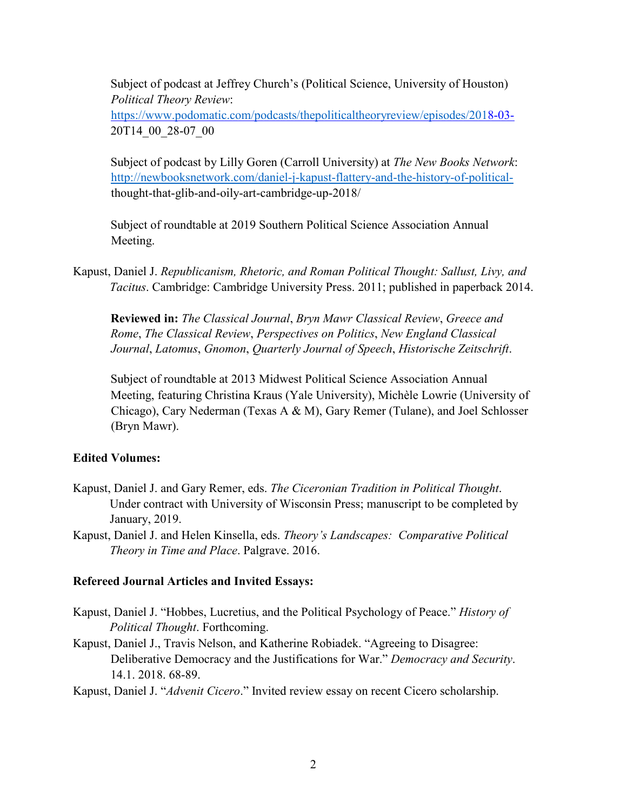Subject of podcast at Jeffrey Church's (Political Science, University of Houston) *Political Theory Review*:

<https://www.podomatic.com/podcasts/thepoliticaltheoryreview/episodes/201>[8-03-](https://www.podomatic.com/podcasts/thepoliticaltheoryreview/episodes/2018-03-) 20T14\_00\_28-07\_00

Subject of podcast by Lilly Goren (Carroll University) at *The New Books Network*: [http://newbooksnetwork.com/daniel-j-kapust-flattery-and-the-history-of-political](http://newbooksnetwork.com/daniel-j-kapust-flattery-and-the-history-of-political-)thought-that-glib-and-oily-art-cambridge-up-2018/

Subject of roundtable at 2019 Southern Political Science Association Annual Meeting.

Kapust, Daniel J. *Republicanism, Rhetoric, and Roman Political Thought: Sallust, Livy, and Tacitus*. Cambridge: Cambridge University Press. 2011; published in paperback 2014.

**Reviewed in:** *The Classical Journal*, *Bryn Mawr Classical Review*, *Greece and Rome*, *The Classical Review*, *Perspectives on Politics*, *New England Classical Journal*, *Latomus*, *Gnomon*, *Quarterly Journal of Speech*, *Historische Zeitschrift*.

Subject of roundtable at 2013 Midwest Political Science Association Annual Meeting, featuring Christina Kraus (Yale University), Michèle Lowrie (University of Chicago), Cary Nederman (Texas A & M), Gary Remer (Tulane), and Joel Schlosser (Bryn Mawr).

## **Edited Volumes:**

- Kapust, Daniel J. and Gary Remer, eds. *The Ciceronian Tradition in Political Thought*. Under contract with University of Wisconsin Press; manuscript to be completed by January, 2019.
- Kapust, Daniel J. and Helen Kinsella, eds. *Theory's Landscapes: Comparative Political Theory in Time and Place*. Palgrave. 2016.

#### **Refereed Journal Articles and Invited Essays:**

- Kapust, Daniel J. "Hobbes, Lucretius, and the Political Psychology of Peace." *History of Political Thought*. Forthcoming.
- Kapust, Daniel J., Travis Nelson, and Katherine Robiadek. "Agreeing to Disagree: Deliberative Democracy and the Justifications for War." *Democracy and Security*. 14.1. 2018. 68-89.
- Kapust, Daniel J. "*Advenit Cicero*." Invited review essay on recent Cicero scholarship.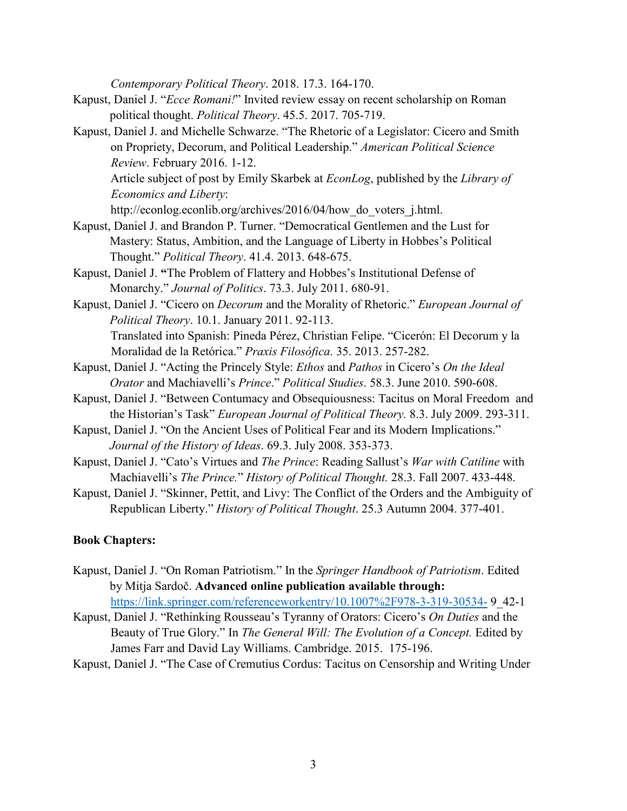*Contemporary Political Theory*. 2018. 17.3. 164-170.

- Kapust, Daniel J. "*Ecce Romani!*" Invited review essay on recent scholarship on Roman political thought. *Political Theory*. 45.5. 2017. 705-719.
- Kapust, Daniel J. and Michelle Schwarze. "The Rhetoric of a Legislator: Cicero and Smith on Propriety, Decorum, and Political Leadership." *American Political Science Review*. February 2016. 1-12. Article subject of post by Emily Skarbek at *EconLog*, published by the *Library of Economics and Liberty*:

http://econlog.econlib.org/archives/2016/04/how do voters j.html.

- Kapust, Daniel J. and Brandon P. Turner. "Democratical Gentlemen and the Lust for Mastery: Status, Ambition, and the Language of Liberty in Hobbes's Political Thought." *Political Theory*. 41.4. 2013. 648-675.
- Kapust, Daniel J. **"**The Problem of Flattery and Hobbes's Institutional Defense of Monarchy." *Journal of Politics*. 73.3. July 2011. 680-91.
- Kapust, Daniel J. "Cicero on *Decorum* and the Morality of Rhetoric." *European Journal of Political Theory*. 10.1. January 2011. 92-113. Translated into Spanish: Pineda Pérez, Christian Felipe. "Cicerón: El Decorum y la Moralidad de la Retórica." *Praxis Filosófica*. 35. 2013. 257-282.
- Kapust, Daniel J. "Acting the Princely Style: *Ethos* and *Pathos* in Cicero's *On the Ideal Orator* and Machiavelli's *Prince*." *Political Studies*. 58.3. June 2010. 590-608.
- Kapust, Daniel J. "Between Contumacy and Obsequiousness: Tacitus on Moral Freedom and the Historian's Task" *European Journal of Political Theory.* 8.3. July 2009. 293-311.
- Kapust, Daniel J. "On the Ancient Uses of Political Fear and its Modern Implications." *Journal of the History of Ideas*. 69.3. July 2008. 353-373.
- Kapust, Daniel J. "Cato's Virtues and *The Prince*: Reading Sallust's *War with Catiline* with Machiavelli's *The Prince.*" *History of Political Thought.* 28.3. Fall 2007. 433-448.
- Kapust, Daniel J. "Skinner, Pettit, and Livy: The Conflict of the Orders and the Ambiguity of Republican Liberty." *History of Political Thought*. 25.3 Autumn 2004. 377-401.

## **Book Chapters:**

- Kapust, Daniel J. "On Roman Patriotism." In the *Springer Handbook of Patriotism*. Edited by Mitja Sardoč. **Advanced online publication available through:**  <https://link.springer.com/referenceworkentry/10.1007%2F978-3-319-30534-> 9\_42-1
- Kapust, Daniel J. "Rethinking Rousseau's Tyranny of Orators: Cicero's *On Duties* and the Beauty of True Glory." In *The General Will: The Evolution of a Concept.* Edited by James Farr and David Lay Williams. Cambridge. 2015. 175-196.
- Kapust, Daniel J. "The Case of Cremutius Cordus: Tacitus on Censorship and Writing Under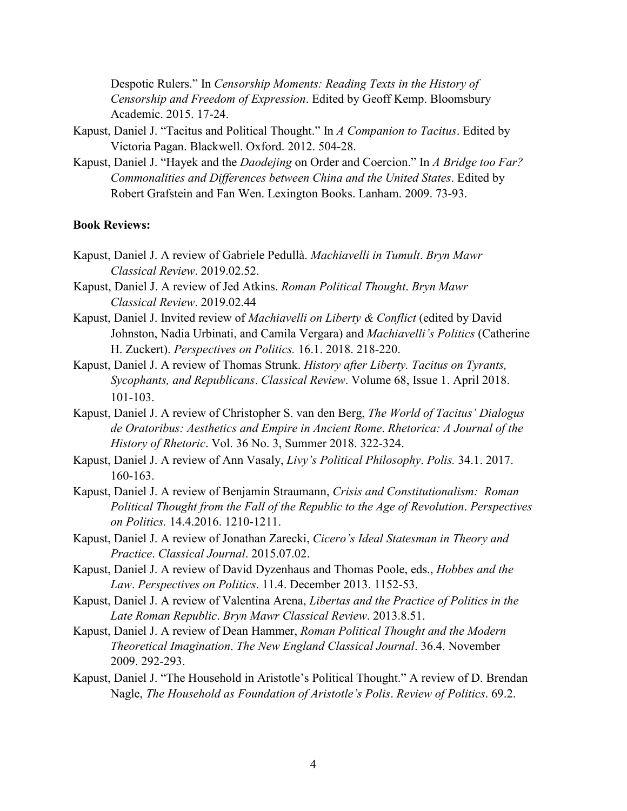Despotic Rulers." In *Censorship Moments: Reading Texts in the History of Censorship and Freedom of Expression*. Edited by Geoff Kemp. Bloomsbury Academic. 2015. 17-24.

- Kapust, Daniel J. "Tacitus and Political Thought." In *A Companion to Tacitus*. Edited by Victoria Pagan. Blackwell. Oxford. 2012. 504-28.
- Kapust, Daniel J. "Hayek and the *Daodejing* on Order and Coercion." In *A Bridge too Far? Commonalities and Differences between China and the United States*. Edited by Robert Grafstein and Fan Wen. Lexington Books. Lanham. 2009. 73-93.

### **Book Reviews:**

- Kapust, Daniel J. A review of Gabriele Pedullà. *Machiavelli in Tumult*. *Bryn Mawr Classical Review*. 2019.02.52.
- Kapust, Daniel J. A review of Jed Atkins. *Roman Political Thought*. *Bryn Mawr Classical Review*. 2019.02.44
- Kapust, Daniel J. Invited review of *Machiavelli on Liberty & Conflict* (edited by David Johnston, Nadia Urbinati, and Camila Vergara) and *Machiavelli's Politics* (Catherine H. Zuckert). *Perspectives on Politics.* 16.1. 2018. 218-220.
- Kapust, Daniel J. A review of Thomas Strunk. *History after Liberty. Tacitus on Tyrants, Sycophants, and Republicans*. *Classical Review*. Volume 68, Issue 1. April 2018. 101-103.
- Kapust, Daniel J. A review of Christopher S. van den Berg, *The World of Tacitus' Dialogus de Oratoribus: Aesthetics and Empire in Ancient Rome*. *Rhetorica: A Journal of the History of Rhetoric*. Vol. 36 No. 3, Summer 2018. 322-324.
- Kapust, Daniel J. A review of Ann Vasaly, *Livy's Political Philosophy*. *Polis.* 34.1. 2017. 160-163.
- Kapust, Daniel J. A review of Benjamin Straumann, *Crisis and Constitutionalism: Roman Political Thought from the Fall of the Republic to the Age of Revolution*. *Perspectives on Politics.* 14.4.2016. 1210-1211.
- Kapust, Daniel J. A review of Jonathan Zarecki, *Cicero's Ideal Statesman in Theory and Practice*. *Classical Journal*. 2015.07.02.
- Kapust, Daniel J. A review of David Dyzenhaus and Thomas Poole, eds., *Hobbes and the Law*. *Perspectives on Politics*. 11.4. December 2013. 1152-53.
- Kapust, Daniel J. A review of Valentina Arena, *Libertas and the Practice of Politics in the Late Roman Republic*. *Bryn Mawr Classical Review*. 2013.8.51.
- Kapust, Daniel J. A review of Dean Hammer, *Roman Political Thought and the Modern Theoretical Imagination*. *The New England Classical Journal*. 36.4. November 2009. 292-293.
- Kapust, Daniel J. "The Household in Aristotle's Political Thought." A review of D. Brendan Nagle, *The Household as Foundation of Aristotle's Polis*. *Review of Politics*. 69.2.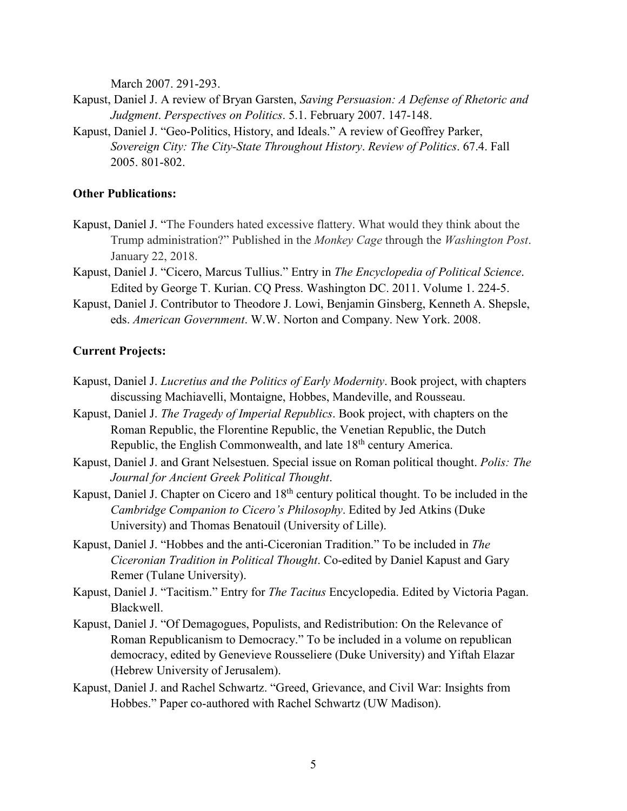March 2007. 291-293.

- Kapust, Daniel J. A review of Bryan Garsten, *Saving Persuasion: A Defense of Rhetoric and Judgment*. *Perspectives on Politics*. 5.1. February 2007. 147-148.
- Kapust, Daniel J. "Geo-Politics, History, and Ideals." A review of Geoffrey Parker, *Sovereign City: The City-State Throughout History*. *Review of Politics*. 67.4. Fall 2005. 801-802.

#### **Other Publications:**

- Kapust, Daniel J. "The Founders hated excessive flattery. What would they think about the Trump administration?" Published in the *Monkey Cage* through the *Washington Post*. January 22, 2018.
- Kapust, Daniel J. "Cicero, Marcus Tullius." Entry in *The Encyclopedia of Political Science*. Edited by George T. Kurian. CQ Press. Washington DC. 2011. Volume 1. 224-5.
- Kapust, Daniel J. Contributor to Theodore J. Lowi, Benjamin Ginsberg, Kenneth A. Shepsle, eds. *American Government*. W.W. Norton and Company. New York. 2008.

### **Current Projects:**

- Kapust, Daniel J. *Lucretius and the Politics of Early Modernity*. Book project, with chapters discussing Machiavelli, Montaigne, Hobbes, Mandeville, and Rousseau.
- Kapust, Daniel J. *The Tragedy of Imperial Republics*. Book project, with chapters on the Roman Republic, the Florentine Republic, the Venetian Republic, the Dutch Republic, the English Commonwealth, and late  $18<sup>th</sup>$  century America.
- Kapust, Daniel J. and Grant Nelsestuen. Special issue on Roman political thought. *Polis: The Journal for Ancient Greek Political Thought*.
- Kapust, Daniel J. Chapter on Cicero and 18<sup>th</sup> century political thought. To be included in the *Cambridge Companion to Cicero's Philosophy*. Edited by Jed Atkins (Duke University) and Thomas Benatouil (University of Lille).
- Kapust, Daniel J. "Hobbes and the anti-Ciceronian Tradition." To be included in *The Ciceronian Tradition in Political Thought*. Co-edited by Daniel Kapust and Gary Remer (Tulane University).
- Kapust, Daniel J. "Tacitism." Entry for *The Tacitus* Encyclopedia. Edited by Victoria Pagan. Blackwell.
- Kapust, Daniel J. "Of Demagogues, Populists, and Redistribution: On the Relevance of Roman Republicanism to Democracy." To be included in a volume on republican democracy, edited by Genevieve Rousseliere (Duke University) and Yiftah Elazar (Hebrew University of Jerusalem).
- Kapust, Daniel J. and Rachel Schwartz. "Greed, Grievance, and Civil War: Insights from Hobbes." Paper co-authored with Rachel Schwartz (UW Madison).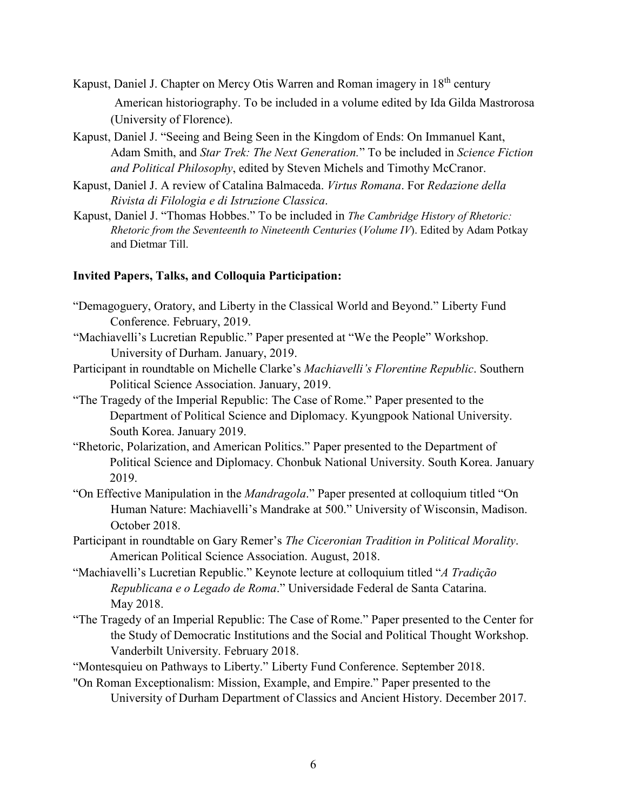- Kapust, Daniel J. Chapter on Mercy Otis Warren and Roman imagery in 18th century American historiography. To be included in a volume edited by Ida Gilda Mastrorosa (University of Florence).
- Kapust, Daniel J. "Seeing and Being Seen in the Kingdom of Ends: On Immanuel Kant, Adam Smith, and *Star Trek: The Next Generation.*" To be included in *Science Fiction and Political Philosophy*, edited by Steven Michels and Timothy McCranor.
- Kapust, Daniel J. A review of Catalina Balmaceda. *Virtus Romana*. For *Redazione della Rivista di Filologia e di Istruzione Classica*.
- Kapust, Daniel J. "Thomas Hobbes." To be included in *The Cambridge History of Rhetoric: Rhetoric from the Seventeenth to Nineteenth Centuries* (*Volume IV*). Edited by Adam Potkay and Dietmar Till.

### **Invited Papers, Talks, and Colloquia Participation:**

- "Demagoguery, Oratory, and Liberty in the Classical World and Beyond." Liberty Fund Conference. February, 2019.
- "Machiavelli's Lucretian Republic." Paper presented at "We the People" Workshop. University of Durham. January, 2019.
- Participant in roundtable on Michelle Clarke's *Machiavelli's Florentine Republic*. Southern Political Science Association. January, 2019.
- "The Tragedy of the Imperial Republic: The Case of Rome." Paper presented to the Department of Political Science and Diplomacy. Kyungpook National University. South Korea. January 2019.
- "Rhetoric, Polarization, and American Politics." Paper presented to the Department of Political Science and Diplomacy. Chonbuk National University. South Korea. January 2019.
- "On Effective Manipulation in the *Mandragola*." Paper presented at colloquium titled "On Human Nature: Machiavelli's Mandrake at 500." University of Wisconsin, Madison. October 2018.
- Participant in roundtable on Gary Remer's *The Ciceronian Tradition in Political Morality*. American Political Science Association. August, 2018.
- "Machiavelli's Lucretian Republic." Keynote lecture at colloquium titled "*A Tradição Republicana e o Legado de Roma*." Universidade Federal de Santa Catarina. May 2018.
- "The Tragedy of an Imperial Republic: The Case of Rome." Paper presented to the Center for the Study of Democratic Institutions and the Social and Political Thought Workshop. Vanderbilt University. February 2018.
- "Montesquieu on Pathways to Liberty." Liberty Fund Conference. September 2018.
- "On Roman Exceptionalism: Mission, Example, and Empire." Paper presented to the University of Durham Department of Classics and Ancient History. December 2017.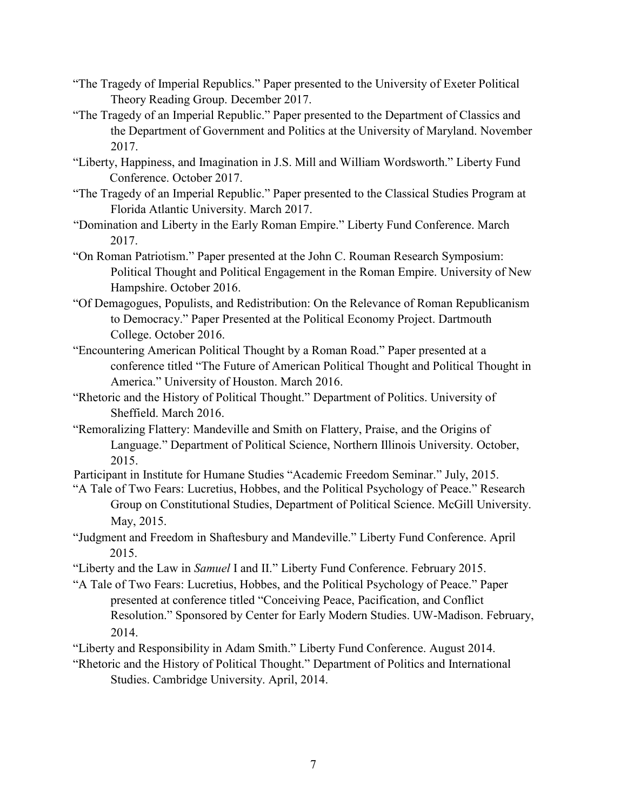- "The Tragedy of Imperial Republics." Paper presented to the University of Exeter Political Theory Reading Group. December 2017.
- "The Tragedy of an Imperial Republic." Paper presented to the Department of Classics and the Department of Government and Politics at the University of Maryland. November 2017.
- "Liberty, Happiness, and Imagination in J.S. Mill and William Wordsworth." Liberty Fund Conference. October 2017.
- "The Tragedy of an Imperial Republic." Paper presented to the Classical Studies Program at Florida Atlantic University. March 2017.
- "Domination and Liberty in the Early Roman Empire." Liberty Fund Conference. March 2017.
- "On Roman Patriotism." Paper presented at the John C. Rouman Research Symposium: Political Thought and Political Engagement in the Roman Empire. University of New Hampshire. October 2016.
- "Of Demagogues, Populists, and Redistribution: On the Relevance of Roman Republicanism to Democracy." Paper Presented at the Political Economy Project. Dartmouth College. October 2016.
- "Encountering American Political Thought by a Roman Road." Paper presented at a conference titled "The Future of American Political Thought and Political Thought in America." University of Houston. March 2016.
- "Rhetoric and the History of Political Thought." Department of Politics. University of Sheffield. March 2016.
- "Remoralizing Flattery: Mandeville and Smith on Flattery, Praise, and the Origins of Language." Department of Political Science, Northern Illinois University. October, 2015.
- Participant in Institute for Humane Studies "Academic Freedom Seminar." July, 2015.
- "A Tale of Two Fears: Lucretius, Hobbes, and the Political Psychology of Peace." Research Group on Constitutional Studies, Department of Political Science. McGill University. May, 2015.
- "Judgment and Freedom in Shaftesbury and Mandeville." Liberty Fund Conference. April 2015.
- "Liberty and the Law in *Samuel* I and II." Liberty Fund Conference. February 2015.
- "A Tale of Two Fears: Lucretius, Hobbes, and the Political Psychology of Peace." Paper presented at conference titled "Conceiving Peace, Pacification, and Conflict Resolution." Sponsored by Center for Early Modern Studies. UW-Madison. February, 2014.
- "Liberty and Responsibility in Adam Smith." Liberty Fund Conference. August 2014.
- "Rhetoric and the History of Political Thought." Department of Politics and International Studies. Cambridge University. April, 2014.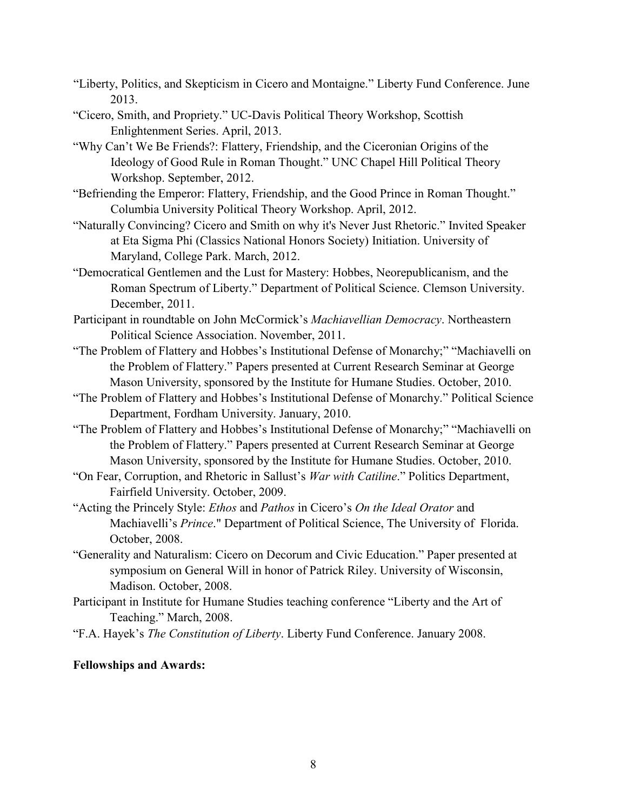- "Liberty, Politics, and Skepticism in Cicero and Montaigne." Liberty Fund Conference. June 2013.
- "Cicero, Smith, and Propriety." UC-Davis Political Theory Workshop, Scottish Enlightenment Series. April, 2013.
- "Why Can't We Be Friends?: Flattery, Friendship, and the Ciceronian Origins of the Ideology of Good Rule in Roman Thought." UNC Chapel Hill Political Theory Workshop. September, 2012.
- "Befriending the Emperor: Flattery, Friendship, and the Good Prince in Roman Thought." Columbia University Political Theory Workshop. April, 2012.
- "Naturally Convincing? Cicero and Smith on why it's Never Just Rhetoric." Invited Speaker at Eta Sigma Phi (Classics National Honors Society) Initiation. University of Maryland, College Park. March, 2012.
- "Democratical Gentlemen and the Lust for Mastery: Hobbes, Neorepublicanism, and the Roman Spectrum of Liberty." Department of Political Science. Clemson University. December, 2011.
- Participant in roundtable on John McCormick's *Machiavellian Democracy*. Northeastern Political Science Association. November, 2011.
- "The Problem of Flattery and Hobbes's Institutional Defense of Monarchy;" "Machiavelli on the Problem of Flattery." Papers presented at Current Research Seminar at George Mason University, sponsored by the Institute for Humane Studies. October, 2010.
- "The Problem of Flattery and Hobbes's Institutional Defense of Monarchy." Political Science Department, Fordham University. January, 2010.
- "The Problem of Flattery and Hobbes's Institutional Defense of Monarchy;" "Machiavelli on the Problem of Flattery." Papers presented at Current Research Seminar at George Mason University, sponsored by the Institute for Humane Studies. October, 2010.
- "On Fear, Corruption, and Rhetoric in Sallust's *War with Catiline*." Politics Department, Fairfield University. October, 2009.
- "Acting the Princely Style: *Ethos* and *Pathos* in Cicero's *On the Ideal Orator* and Machiavelli's *Prince*." Department of Political Science, The University of Florida. October, 2008.
- "Generality and Naturalism: Cicero on Decorum and Civic Education." Paper presented at symposium on General Will in honor of Patrick Riley. University of Wisconsin, Madison. October, 2008.
- Participant in Institute for Humane Studies teaching conference "Liberty and the Art of Teaching." March, 2008.
- "F.A. Hayek's *The Constitution of Liberty*. Liberty Fund Conference. January 2008.

# **Fellowships and Awards:**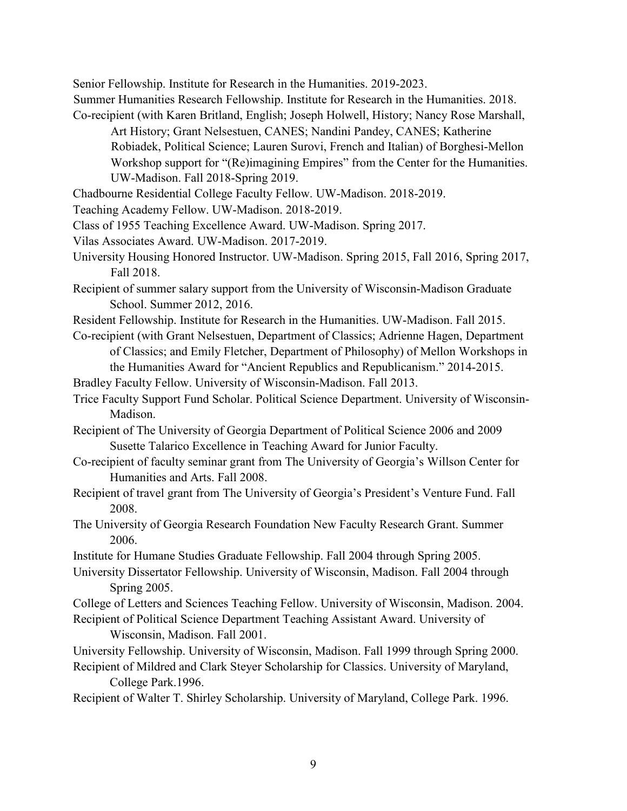Senior Fellowship. Institute for Research in the Humanities. 2019-2023.

Summer Humanities Research Fellowship. Institute for Research in the Humanities. 2018. Co-recipient (with Karen Britland, English; Joseph Holwell, History; Nancy Rose Marshall,

Art History; Grant Nelsestuen, CANES; Nandini Pandey, CANES; Katherine Robiadek, Political Science; Lauren Surovi, French and Italian) of Borghesi-Mellon Workshop support for "(Re)imagining Empires" from the Center for the Humanities. UW-Madison. Fall 2018-Spring 2019.

Chadbourne Residential College Faculty Fellow. UW-Madison. 2018-2019.

- Teaching Academy Fellow. UW-Madison. 2018-2019.
- Class of 1955 Teaching Excellence Award. UW-Madison. Spring 2017.
- Vilas Associates Award. UW-Madison. 2017-2019.
- University Housing Honored Instructor. UW-Madison. Spring 2015, Fall 2016, Spring 2017, Fall 2018.
- Recipient of summer salary support from the University of Wisconsin-Madison Graduate School. Summer 2012, 2016.
- Resident Fellowship. Institute for Research in the Humanities. UW-Madison. Fall 2015.
- Co-recipient (with Grant Nelsestuen, Department of Classics; Adrienne Hagen, Department of Classics; and Emily Fletcher, Department of Philosophy) of Mellon Workshops in the Humanities Award for "Ancient Republics and Republicanism." 2014-2015.

Bradley Faculty Fellow. University of Wisconsin-Madison. Fall 2013.

- Trice Faculty Support Fund Scholar. Political Science Department. University of Wisconsin-Madison.
- Recipient of The University of Georgia Department of Political Science 2006 and 2009 Susette Talarico Excellence in Teaching Award for Junior Faculty.
- Co-recipient of faculty seminar grant from The University of Georgia's Willson Center for Humanities and Arts. Fall 2008.
- Recipient of travel grant from The University of Georgia's President's Venture Fund. Fall 2008.
- The University of Georgia Research Foundation New Faculty Research Grant. Summer 2006.
- Institute for Humane Studies Graduate Fellowship. Fall 2004 through Spring 2005.
- University Dissertator Fellowship. University of Wisconsin, Madison. Fall 2004 through Spring 2005.

College of Letters and Sciences Teaching Fellow. University of Wisconsin, Madison. 2004. Recipient of Political Science Department Teaching Assistant Award. University of Wisconsin, Madison. Fall 2001.

University Fellowship. University of Wisconsin, Madison. Fall 1999 through Spring 2000. Recipient of Mildred and Clark Steyer Scholarship for Classics. University of Maryland,

College Park.1996.

Recipient of Walter T. Shirley Scholarship. University of Maryland, College Park. 1996.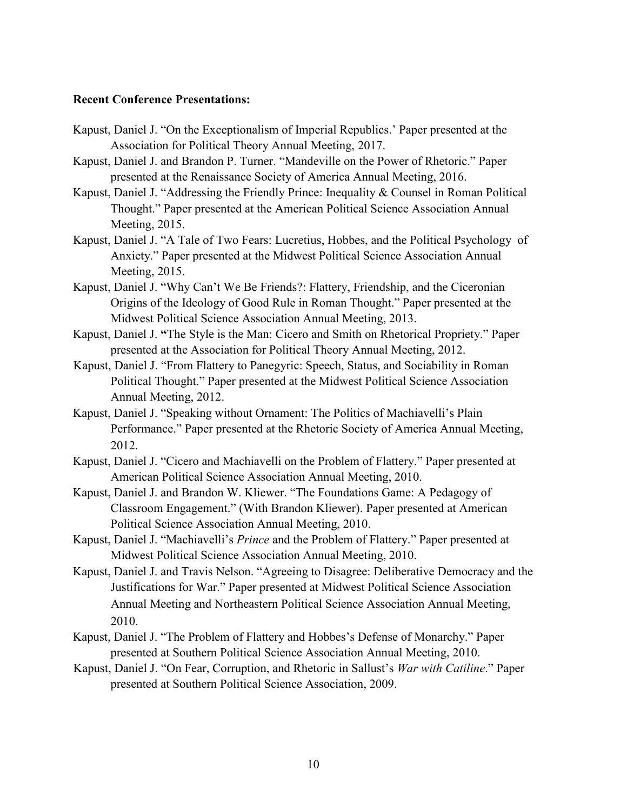### **Recent Conference Presentations:**

- Kapust, Daniel J. "On the Exceptionalism of Imperial Republics.' Paper presented at the Association for Political Theory Annual Meeting, 2017.
- Kapust, Daniel J. and Brandon P. Turner. "Mandeville on the Power of Rhetoric." Paper presented at the Renaissance Society of America Annual Meeting, 2016.
- Kapust, Daniel J. "Addressing the Friendly Prince: Inequality & Counsel in Roman Political Thought." Paper presented at the American Political Science Association Annual Meeting, 2015.
- Kapust, Daniel J. "A Tale of Two Fears: Lucretius, Hobbes, and the Political Psychology of Anxiety." Paper presented at the Midwest Political Science Association Annual Meeting, 2015.
- Kapust, Daniel J. "Why Can't We Be Friends?: Flattery, Friendship, and the Ciceronian Origins of the Ideology of Good Rule in Roman Thought." Paper presented at the Midwest Political Science Association Annual Meeting, 2013.
- Kapust, Daniel J. **"**The Style is the Man: Cicero and Smith on Rhetorical Propriety." Paper presented at the Association for Political Theory Annual Meeting, 2012.
- Kapust, Daniel J. "From Flattery to Panegyric: Speech, Status, and Sociability in Roman Political Thought." Paper presented at the Midwest Political Science Association Annual Meeting, 2012.
- Kapust, Daniel J. "Speaking without Ornament: The Politics of Machiavelli's Plain Performance." Paper presented at the Rhetoric Society of America Annual Meeting, 2012.
- Kapust, Daniel J. "Cicero and Machiavelli on the Problem of Flattery." Paper presented at American Political Science Association Annual Meeting, 2010.
- Kapust, Daniel J. and Brandon W. Kliewer. "The Foundations Game: A Pedagogy of Classroom Engagement." (With Brandon Kliewer). Paper presented at American Political Science Association Annual Meeting, 2010.
- Kapust, Daniel J. "Machiavelli's *Prince* and the Problem of Flattery." Paper presented at Midwest Political Science Association Annual Meeting, 2010.
- Kapust, Daniel J. and Travis Nelson. "Agreeing to Disagree: Deliberative Democracy and the Justifications for War." Paper presented at Midwest Political Science Association Annual Meeting and Northeastern Political Science Association Annual Meeting, 2010.
- Kapust, Daniel J. "The Problem of Flattery and Hobbes's Defense of Monarchy." Paper presented at Southern Political Science Association Annual Meeting, 2010.
- Kapust, Daniel J. "On Fear, Corruption, and Rhetoric in Sallust's *War with Catiline*." Paper presented at Southern Political Science Association, 2009.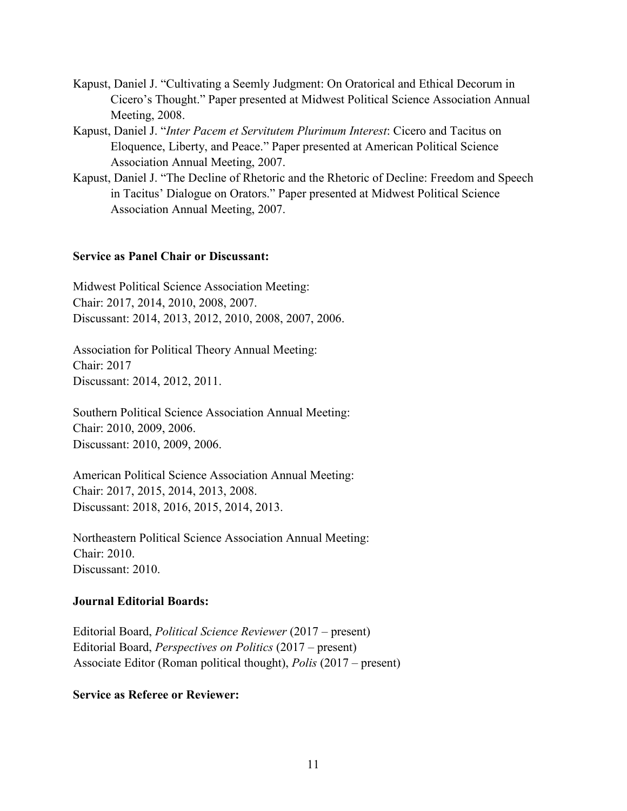- Kapust, Daniel J. "Cultivating a Seemly Judgment: On Oratorical and Ethical Decorum in Cicero's Thought." Paper presented at Midwest Political Science Association Annual Meeting, 2008.
- Kapust, Daniel J. "*Inter Pacem et Servitutem Plurimum Interest*: Cicero and Tacitus on Eloquence, Liberty, and Peace." Paper presented at American Political Science Association Annual Meeting, 2007.
- Kapust, Daniel J. "The Decline of Rhetoric and the Rhetoric of Decline: Freedom and Speech in Tacitus' Dialogue on Orators." Paper presented at Midwest Political Science Association Annual Meeting, 2007.

## **Service as Panel Chair or Discussant:**

Midwest Political Science Association Meeting: Chair: 2017, 2014, 2010, 2008, 2007. Discussant: 2014, 2013, 2012, 2010, 2008, 2007, 2006.

Association for Political Theory Annual Meeting: Chair: 2017 Discussant: 2014, 2012, 2011.

Southern Political Science Association Annual Meeting: Chair: 2010, 2009, 2006. Discussant: 2010, 2009, 2006.

American Political Science Association Annual Meeting: Chair: 2017, 2015, 2014, 2013, 2008. Discussant: 2018, 2016, 2015, 2014, 2013.

Northeastern Political Science Association Annual Meeting: Chair: 2010. Discussant: 2010.

## **Journal Editorial Boards:**

Editorial Board, *Political Science Reviewer* (2017 – present) Editorial Board, *Perspectives on Politics* (2017 – present) Associate Editor (Roman political thought), *Polis* (2017 – present)

## **Service as Referee or Reviewer:**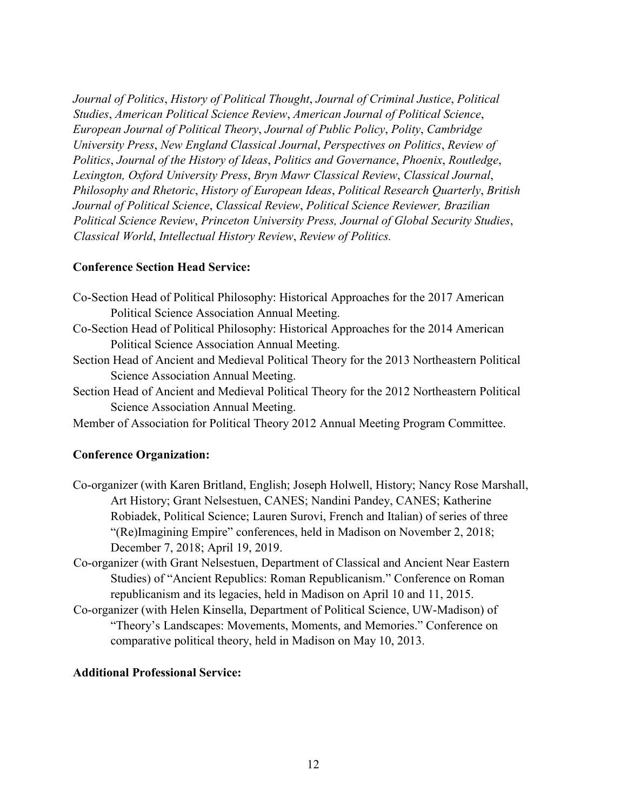*Journal of Politics*, *History of Political Thought*, *Journal of Criminal Justice*, *Political Studies*, *American Political Science Review*, *American Journal of Political Science*, *European Journal of Political Theory*, *Journal of Public Policy*, *Polity*, *Cambridge University Press*, *New England Classical Journal*, *Perspectives on Politics*, *Review of Politics*, *Journal of the History of Ideas*, *Politics and Governance*, *Phoenix*, *Routledge*, *Lexington, Oxford University Press*, *Bryn Mawr Classical Review*, *Classical Journal*, *Philosophy and Rhetoric*, *History of European Ideas*, *Political Research Quarterly*, *British Journal of Political Science*, *Classical Review*, *Political Science Reviewer, Brazilian Political Science Review*, *Princeton University Press, Journal of Global Security Studies*, *Classical World*, *Intellectual History Review*, *Review of Politics.*

# **Conference Section Head Service:**

| Co-Section Head of Political Philosophy: Historical Approaches for the 2017 American      |
|-------------------------------------------------------------------------------------------|
| Political Science Association Annual Meeting.                                             |
| Co-Section Head of Political Philosophy: Historical Approaches for the 2014 American      |
| Political Science Association Annual Meeting.                                             |
| Section Head of Ancient and Medieval Political Theory for the 2013 Northeastern Political |
| Science Association Annual Meeting.                                                       |
| Section Head of Ancient and Medieval Political Theory for the 2012 Northeastern Political |
| Science Association Annual Meeting.                                                       |

Member of Association for Political Theory 2012 Annual Meeting Program Committee.

# **Conference Organization:**

- Co-organizer (with Karen Britland, English; Joseph Holwell, History; Nancy Rose Marshall, Art History; Grant Nelsestuen, CANES; Nandini Pandey, CANES; Katherine Robiadek, Political Science; Lauren Surovi, French and Italian) of series of three "(Re)Imagining Empire" conferences, held in Madison on November 2, 2018; December 7, 2018; April 19, 2019.
- Co-organizer (with Grant Nelsestuen, Department of Classical and Ancient Near Eastern Studies) of "Ancient Republics: Roman Republicanism." Conference on Roman republicanism and its legacies, held in Madison on April 10 and 11, 2015.
- Co-organizer (with Helen Kinsella, Department of Political Science, UW-Madison) of "Theory's Landscapes: Movements, Moments, and Memories." Conference on comparative political theory, held in Madison on May 10, 2013.

# **Additional Professional Service:**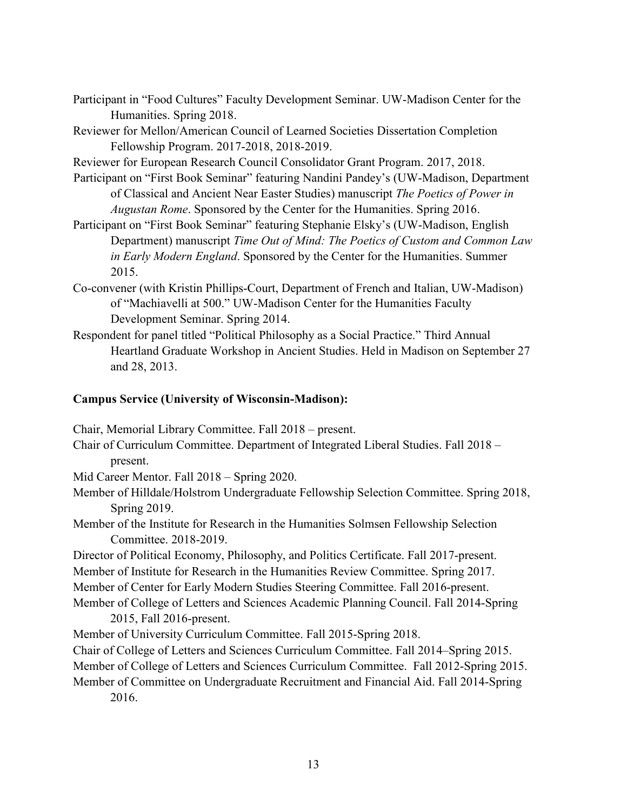Participant in "Food Cultures" Faculty Development Seminar. UW-Madison Center for the Humanities. Spring 2018.

Reviewer for Mellon/American Council of Learned Societies Dissertation Completion Fellowship Program. 2017-2018, 2018-2019.

Reviewer for European Research Council Consolidator Grant Program. 2017, 2018.

Participant on "First Book Seminar" featuring Nandini Pandey's (UW-Madison, Department of Classical and Ancient Near Easter Studies) manuscript *The Poetics of Power in Augustan Rome*. Sponsored by the Center for the Humanities. Spring 2016.

Participant on "First Book Seminar" featuring Stephanie Elsky's (UW-Madison, English Department) manuscript *Time Out of Mind: The Poetics of Custom and Common Law in Early Modern England*. Sponsored by the Center for the Humanities. Summer 2015.

- Co-convener (with Kristin Phillips-Court, Department of French and Italian, UW-Madison) of "Machiavelli at 500." UW-Madison Center for the Humanities Faculty Development Seminar. Spring 2014.
- Respondent for panel titled "Political Philosophy as a Social Practice." Third Annual Heartland Graduate Workshop in Ancient Studies. Held in Madison on September 27 and 28, 2013.

# **Campus Service (University of Wisconsin-Madison):**

Chair, Memorial Library Committee. Fall 2018 – present.

Chair of Curriculum Committee. Department of Integrated Liberal Studies. Fall 2018 – present.

Mid Career Mentor. Fall 2018 – Spring 2020.

- Member of Hilldale/Holstrom Undergraduate Fellowship Selection Committee. Spring 2018, Spring 2019.
- Member of the Institute for Research in the Humanities Solmsen Fellowship Selection Committee. 2018-2019.

Director of Political Economy, Philosophy, and Politics Certificate. Fall 2017-present.

Member of Institute for Research in the Humanities Review Committee. Spring 2017.

Member of Center for Early Modern Studies Steering Committee. Fall 2016-present.

Member of College of Letters and Sciences Academic Planning Council. Fall 2014-Spring 2015, Fall 2016-present.

Member of University Curriculum Committee. Fall 2015-Spring 2018.

Chair of College of Letters and Sciences Curriculum Committee. Fall 2014–Spring 2015.

Member of College of Letters and Sciences Curriculum Committee. Fall 2012-Spring 2015.

Member of Committee on Undergraduate Recruitment and Financial Aid. Fall 2014-Spring 2016.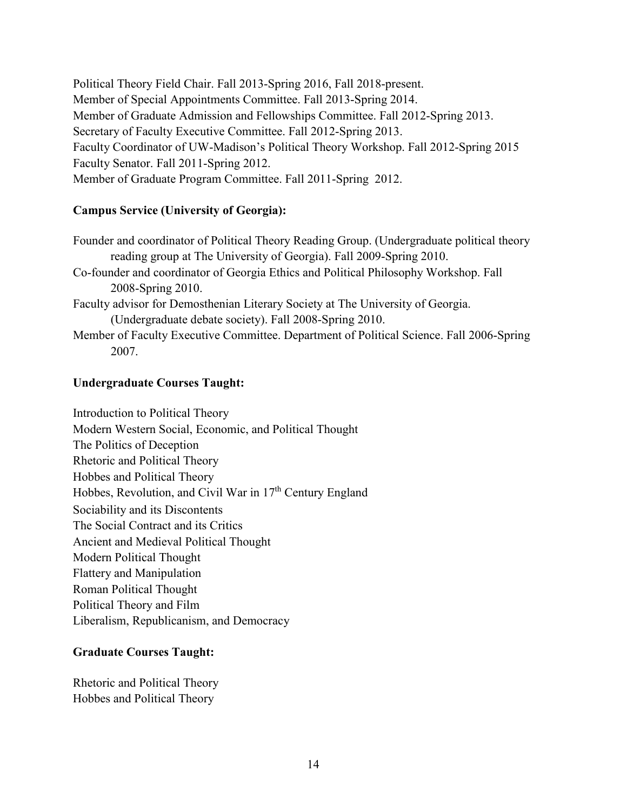Political Theory Field Chair. Fall 2013-Spring 2016, Fall 2018-present. Member of Special Appointments Committee. Fall 2013-Spring 2014. Member of Graduate Admission and Fellowships Committee. Fall 2012-Spring 2013. Secretary of Faculty Executive Committee. Fall 2012-Spring 2013. Faculty Coordinator of UW-Madison's Political Theory Workshop. Fall 2012-Spring 2015 Faculty Senator. Fall 2011-Spring 2012. Member of Graduate Program Committee. Fall 2011-Spring 2012.

## **Campus Service (University of Georgia):**

Founder and coordinator of Political Theory Reading Group. (Undergraduate political theory reading group at The University of Georgia). Fall 2009-Spring 2010. Co-founder and coordinator of Georgia Ethics and Political Philosophy Workshop. Fall 2008-Spring 2010. Faculty advisor for Demosthenian Literary Society at The University of Georgia. (Undergraduate debate society). Fall 2008-Spring 2010. Member of Faculty Executive Committee. Department of Political Science. Fall 2006-Spring

2007.

## **Undergraduate Courses Taught:**

Introduction to Political Theory Modern Western Social, Economic, and Political Thought The Politics of Deception Rhetoric and Political Theory Hobbes and Political Theory Hobbes, Revolution, and Civil War in 17<sup>th</sup> Century England Sociability and its Discontents The Social Contract and its Critics Ancient and Medieval Political Thought Modern Political Thought Flattery and Manipulation Roman Political Thought Political Theory and Film Liberalism, Republicanism, and Democracy

# **Graduate Courses Taught:**

Rhetoric and Political Theory Hobbes and Political Theory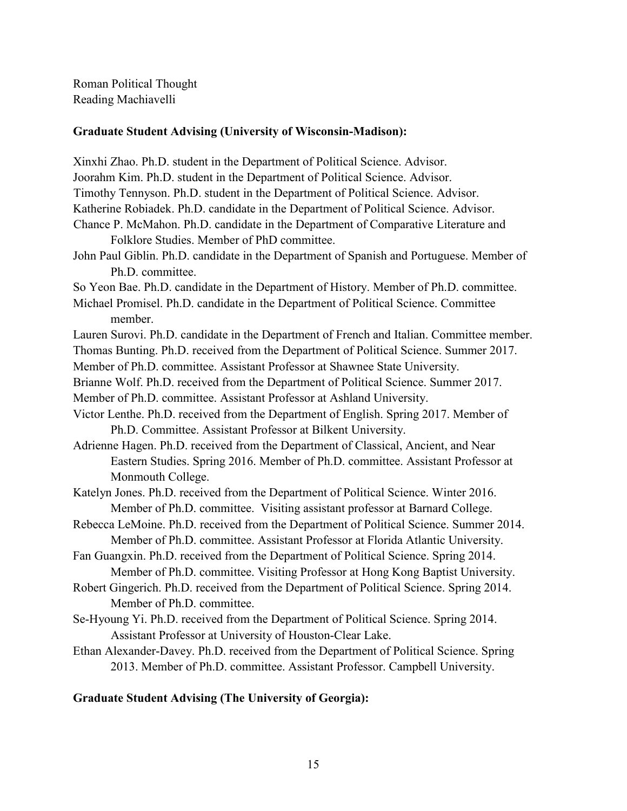Roman Political Thought Reading Machiavelli

## **Graduate Student Advising (University of Wisconsin-Madison):**

Xinxhi Zhao. Ph.D. student in the Department of Political Science. Advisor.

Joorahm Kim. Ph.D. student in the Department of Political Science. Advisor.

Timothy Tennyson. Ph.D. student in the Department of Political Science. Advisor.

Katherine Robiadek. Ph.D. candidate in the Department of Political Science. Advisor.

- Chance P. McMahon. Ph.D. candidate in the Department of Comparative Literature and Folklore Studies. Member of PhD committee.
- John Paul Giblin. Ph.D. candidate in the Department of Spanish and Portuguese. Member of Ph.D. committee.

So Yeon Bae. Ph.D. candidate in the Department of History. Member of Ph.D. committee.

Michael Promisel. Ph.D. candidate in the Department of Political Science. Committee member.

Lauren Surovi. Ph.D. candidate in the Department of French and Italian. Committee member. Thomas Bunting. Ph.D. received from the Department of Political Science. Summer 2017.

Member of Ph.D. committee. Assistant Professor at Shawnee State University.

Brianne Wolf. Ph.D. received from the Department of Political Science. Summer 2017.

Member of Ph.D. committee. Assistant Professor at Ashland University.

- Victor Lenthe. Ph.D. received from the Department of English. Spring 2017. Member of Ph.D. Committee. Assistant Professor at Bilkent University.
- Adrienne Hagen. Ph.D. received from the Department of Classical, Ancient, and Near Eastern Studies. Spring 2016. Member of Ph.D. committee. Assistant Professor at Monmouth College.

Katelyn Jones. Ph.D. received from the Department of Political Science. Winter 2016. Member of Ph.D. committee. Visiting assistant professor at Barnard College.

- Rebecca LeMoine. Ph.D. received from the Department of Political Science. Summer 2014. Member of Ph.D. committee. Assistant Professor at Florida Atlantic University.
- Fan Guangxin. Ph.D. received from the Department of Political Science. Spring 2014. Member of Ph.D. committee. Visiting Professor at Hong Kong Baptist University.
- Robert Gingerich. Ph.D. received from the Department of Political Science. Spring 2014. Member of Ph.D. committee.
- Se-Hyoung Yi. Ph.D. received from the Department of Political Science. Spring 2014. Assistant Professor at University of Houston-Clear Lake.
- Ethan Alexander-Davey. Ph.D. received from the Department of Political Science. Spring 2013. Member of Ph.D. committee. Assistant Professor. Campbell University.

# **Graduate Student Advising (The University of Georgia):**